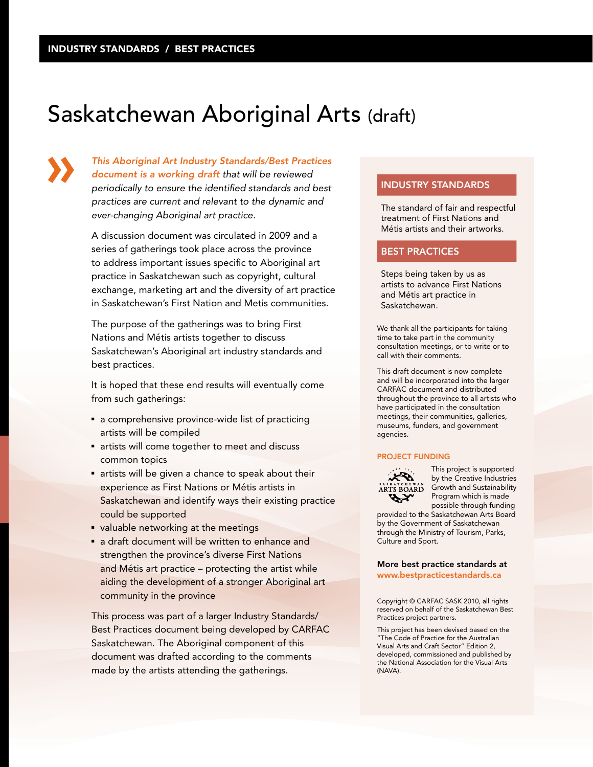# Saskatchewan Aboriginal Arts (draft)

*This Aboriginal Art Industry Standards/Best Practices document is a working draft that will be reviewed periodically to ensure the identified standards and best practices are current and relevant to the dynamic and ever-changing Aboriginal art practice.*

A discussion document was circulated in 2009 and a series of gatherings took place across the province to address important issues specific to Aboriginal art practice in Saskatchewan such as copyright, cultural exchange, marketing art and the diversity of art practice in Saskatchewan's First Nation and Metis communities.

The purpose of the gatherings was to bring First Nations and Métis artists together to discuss Saskatchewan's Aboriginal art industry standards and best practices.

It is hoped that these end results will eventually come from such gatherings:

- a comprehensive province-wide list of practicing artists will be compiled
- artists will come together to meet and discuss common topics
- artists will be given a chance to speak about their experience as First Nations or Métis artists in Saskatchewan and identify ways their existing practice could be supported
- valuable networking at the meetings
- a draft document will be written to enhance and strengthen the province's diverse First Nations and Métis art practice – protecting the artist while aiding the development of a stronger Aboriginal art community in the province

This process was part of a larger Industry Standards/ Best Practices document being developed by CARFAC Saskatchewan. The Aboriginal component of this document was drafted according to the comments made by the artists attending the gatherings.

## INDUSTRY STANDARDS

The standard of fair and respectful treatment of First Nations and Métis artists and their artworks.

## BEST PRACTICES

Steps being taken by us as artists to advance First Nations and Métis art practice in Saskatchewan.

We thank all the participants for taking time to take part in the community consultation meetings, or to write or to call with their comments.

This draft document is now complete and will be incorporated into the larger CARFAC document and distributed throughout the province to all artists who have participated in the consultation meetings, their communities, galleries, museums, funders, and government agencies.

#### PROJECT FUNDING



This project is supported by the Creative Industries **ARTS BOARD** Growth and Sustainability Program which is made possible through funding

provided to the Saskatchewan Arts Board by the Government of Saskatchewan through the Ministry of Tourism, Parks, Culture and Sport.

#### More best practice standards at www.bestpracticestandards.ca

Copyright © CARFAC SASK 2010, all rights reserved on behalf of the Saskatchewan Best Practices project partners.

This project has been devised based on the "The Code of Practice for the Australian Visual Arts and Craft Sector" Edition 2, developed, commissioned and published by the National Association for the Visual Arts (NAVA).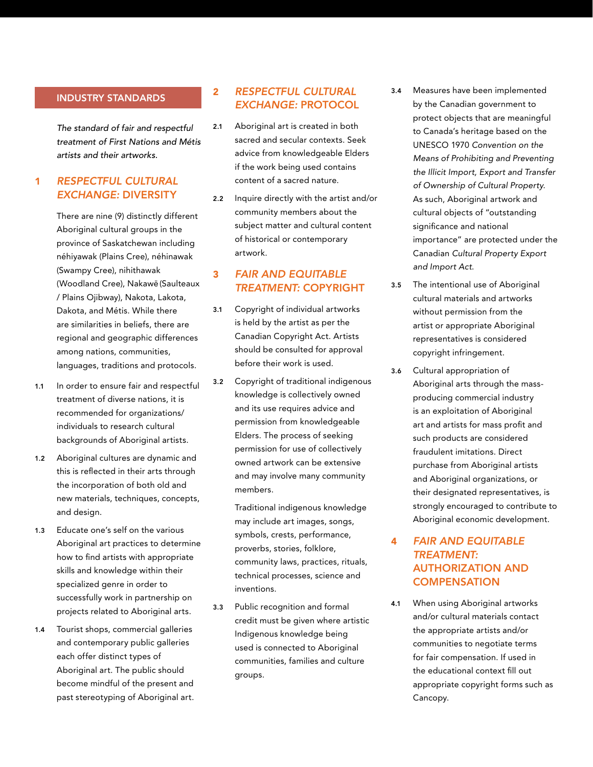## INDUSTRY STANDARDS

*The standard of fair and respectful treatment of First Nations and Métis artists and their artworks.*

# 1 *RESPECTFUL CULTURAL EXCHANGE:* DIVERSITY

There are nine (9) distinctly different Aboriginal cultural groups in the province of Saskatchewan including néhiyawak (Plains Cree), néhinawak (Swampy Cree), nihithawak (Woodland Cree), Nakawē (Saulteaux / Plains Ojibway), Nakota, Lakota, Dakota, and Métis. While there are similarities in beliefs, there are regional and geographic differences among nations, communities, languages, traditions and protocols.

- 1.1 In order to ensure fair and respectful treatment of diverse nations, it is recommended for organizations/ individuals to research cultural backgrounds of Aboriginal artists.
- 1.2 Aboriginal cultures are dynamic and this is reflected in their arts through the incorporation of both old and new materials, techniques, concepts, and design.
- 1.3 Educate one's self on the various Aboriginal art practices to determine how to find artists with appropriate skills and knowledge within their specialized genre in order to successfully work in partnership on projects related to Aboriginal arts.
- 1.4 Tourist shops, commercial galleries and contemporary public galleries each offer distinct types of Aboriginal art. The public should become mindful of the present and past stereotyping of Aboriginal art.

# 2 *RESPECTFUL CULTURAL EXCHANGE:* PROTOCOL

- 2.1 Aboriginal art is created in both sacred and secular contexts. Seek advice from knowledgeable Elders if the work being used contains content of a sacred nature.
- 2.2 Inquire directly with the artist and/or community members about the subject matter and cultural content of historical or contemporary artwork.

# 3 *FAIR AND EQUITABLE TREATMENT:* COPYRIGHT

- 3.1 Copyright of individual artworks is held by the artist as per the Canadian Copyright Act. Artists should be consulted for approval before their work is used.
- 3.2 Copyright of traditional indigenous knowledge is collectively owned and its use requires advice and permission from knowledgeable Elders. The process of seeking permission for use of collectively owned artwork can be extensive and may involve many community members.

Traditional indigenous knowledge may include art images, songs, symbols, crests, performance, proverbs, stories, folklore, community laws, practices, rituals, technical processes, science and inventions.

3.3 Public recognition and formal credit must be given where artistic Indigenous knowledge being used is connected to Aboriginal communities, families and culture groups.

- 3.4 Measures have been implemented by the Canadian government to protect objects that are meaningful to Canada's heritage based on the UNESCO 1970 *Convention on the Means of Prohibiting and Preventing the Illicit Import, Export and Transfer of Ownership of Cultural Property*. As such, Aboriginal artwork and cultural objects of "outstanding significance and national importance" are protected under the Canadian *Cultural Property Export and Import Act*.
- 3.5 The intentional use of Aboriginal cultural materials and artworks without permission from the artist or appropriate Aboriginal representatives is considered copyright infringement.
- 3.6 Cultural appropriation of Aboriginal arts through the massproducing commercial industry is an exploitation of Aboriginal art and artists for mass profit and such products are considered fraudulent imitations. Direct purchase from Aboriginal artists and Aboriginal organizations, or their designated representatives, is strongly encouraged to contribute to Aboriginal economic development.

# 4 *FAIR AND EQUITABLE TREATMENT:* AUTHORIZATION AND **COMPENSATION**

4.1 When using Aboriginal artworks and/or cultural materials contact the appropriate artists and/or communities to negotiate terms for fair compensation. If used in the educational context fill out appropriate copyright forms such as Cancopy.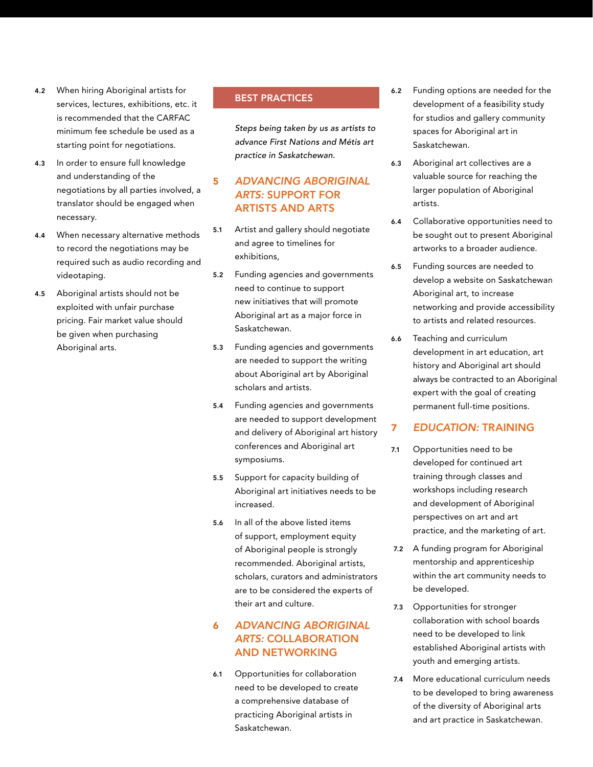- 4.2 When hiring Aboriginal artists for services, lectures, exhibitions, etc. it is recommended that the CARFAC minimum fee schedule be used as a starting point for negotiations.
- 4.3 In order to ensure full knowledge and understanding of the negotiations by all parties involved, a translator should be engaged when necessary.
- 4.4 When necessary alternative methods to record the negotiations may be required such as audio recording and videotaping.
- 4.5 Aboriginal artists should not be exploited with unfair purchase pricing. Fair market value should be given when purchasing Aboriginal arts.

## BEST PRACTICES

*Steps being taken by us as artists to advance First Nations and Métis art practice in Saskatchewan.*

## 5 *ADVANCING ABORIGINAL ARTS:* SUPPORT FOR ARTISTS AND ARTS

- 5.1 Artist and gallery should negotiate and agree to timelines for exhibitions,
- 5.2 Funding agencies and governments need to continue to support new initiatives that will promote Aboriginal art as a major force in Saskatchewan.
- 5.3 Funding agencies and governments are needed to support the writing about Aboriginal art by Aboriginal scholars and artists.
- 5.4 Funding agencies and governments are needed to support development and delivery of Aboriginal art history conferences and Aboriginal art symposiums.
- 5.5 Support for capacity building of Aboriginal art initiatives needs to be increased.
- 5.6 In all of the above listed items of support, employment equity of Aboriginal people is strongly recommended. Aboriginal artists, scholars, curators and administrators are to be considered the experts of their art and culture.

# 6 *ADVANCING ABORIGINAL ARTS:* COLLABORATION AND NETWORKING

6.1 Opportunities for collaboration need to be developed to create a comprehensive database of practicing Aboriginal artists in Saskatchewan.

- 6.2 Funding options are needed for the development of a feasibility study for studios and gallery community spaces for Aboriginal art in Saskatchewan.
- 6.3 Aboriginal art collectives are a valuable source for reaching the larger population of Aboriginal artists.
- 6.4 Collaborative opportunities need to be sought out to present Aboriginal artworks to a broader audience.
- 6.5 Funding sources are needed to develop a website on Saskatchewan Aboriginal art, to increase networking and provide accessibility to artists and related resources.
- 6.6 Teaching and curriculum development in art education, art history and Aboriginal art should always be contracted to an Aboriginal expert with the goal of creating permanent full-time positions.

## 7 *EDUCATION:* TRAINING

- 7.1 Opportunities need to be developed for continued art training through classes and workshops including research and development of Aboriginal perspectives on art and art practice, and the marketing of art.
- 7.2 A funding program for Aboriginal mentorship and apprenticeship within the art community needs to be developed.
- 7.3 Opportunities for stronger collaboration with school boards need to be developed to link established Aboriginal artists with youth and emerging artists.
- 7.4 More educational curriculum needs to be developed to bring awareness of the diversity of Aboriginal arts and art practice in Saskatchewan.